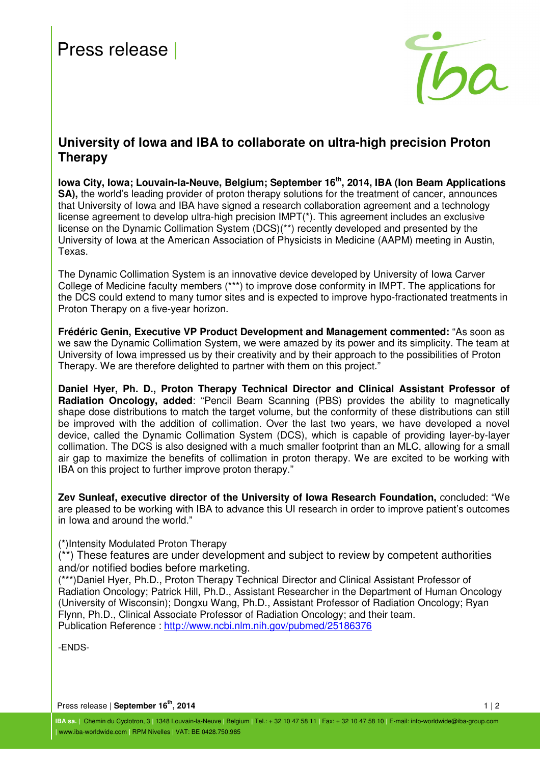# Press release |



# **University of Iowa and IBA to collaborate on ultra-high precision Proton Therapy**

**Iowa City, Iowa; Louvain-la-Neuve, Belgium; September 16th, 2014, IBA (Ion Beam Applications SA), the world's leading provider of proton therapy solutions for the treatment of cancer, announces** that University of Iowa and IBA have signed a research collaboration agreement and a technology license agreement to develop ultra-high precision IMPT(\*). This agreement includes an exclusive license on the Dynamic Collimation System (DCS)(\*\*) recently developed and presented by the University of Iowa at the American Association of Physicists in Medicine (AAPM) meeting in Austin, Texas.

The Dynamic Collimation System is an innovative device developed by University of Iowa Carver College of Medicine faculty members (\*\*\*) to improve dose conformity in IMPT. The applications for the DCS could extend to many tumor sites and is expected to improve hypo-fractionated treatments in Proton Therapy on a five-year horizon.

**Frédéric Genin, Executive VP Product Development and Management commented:** "As soon as we saw the Dynamic Collimation System, we were amazed by its power and its simplicity. The team at University of Iowa impressed us by their creativity and by their approach to the possibilities of Proton Therapy. We are therefore delighted to partner with them on this project."

**Daniel Hyer, Ph. D., Proton Therapy Technical Director and Clinical Assistant Professor of Radiation Oncology, added**: "Pencil Beam Scanning (PBS) provides the ability to magnetically shape dose distributions to match the target volume, but the conformity of these distributions can still be improved with the addition of collimation. Over the last two years, we have developed a novel device, called the Dynamic Collimation System (DCS), which is capable of providing layer-by-layer collimation. The DCS is also designed with a much smaller footprint than an MLC, allowing for a small air gap to maximize the benefits of collimation in proton therapy. We are excited to be working with IBA on this project to further improve proton therapy."

**Zev Sunleaf, executive director of the University of Iowa Research Foundation,** concluded: "We are pleased to be working with IBA to advance this UI research in order to improve patient's outcomes in Iowa and around the world."

(\*)Intensity Modulated Proton Therapy

(\*\*) These features are under development and subject to review by competent authorities and/or notified bodies before marketing.

(\*\*\*)Daniel Hyer, Ph.D., Proton Therapy Technical Director and Clinical Assistant Professor of Radiation Oncology; Patrick Hill, Ph.D., Assistant Researcher in the Department of Human Oncology (University of Wisconsin); Dongxu Wang, Ph.D., Assistant Professor of Radiation Oncology; Ryan Flynn, Ph.D., Clinical Associate Professor of Radiation Oncology; and their team. Publication Reference : http://www.ncbi.nlm.nih.gov/pubmed/25186376

-ENDS-

Press release | September 16<sup>th</sup>, 2014 1 | 2